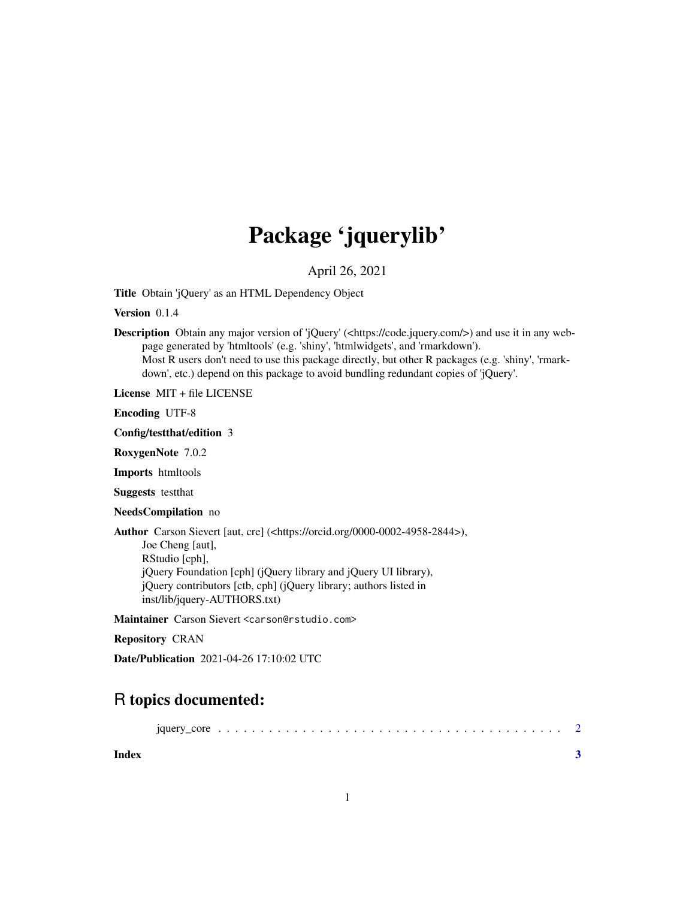## Package 'jquerylib'

April 26, 2021

<span id="page-0-0"></span>Title Obtain 'jQuery' as an HTML Dependency Object

Version 0.1.4

Description Obtain any major version of 'jQuery' (<https://code.jquery.com/>) and use it in any webpage generated by 'htmltools' (e.g. 'shiny', 'htmlwidgets', and 'rmarkdown'). Most R users don't need to use this package directly, but other R packages (e.g. 'shiny', 'rmarkdown', etc.) depend on this package to avoid bundling redundant copies of 'jQuery'.

License MIT + file LICENSE

Encoding UTF-8

Config/testthat/edition 3

RoxygenNote 7.0.2

Imports htmltools

Suggests testthat

NeedsCompilation no

Author Carson Sievert [aut, cre] (<https://orcid.org/0000-0002-4958-2844>), Joe Cheng [aut], RStudio [cph], jQuery Foundation [cph] (jQuery library and jQuery UI library),

jQuery contributors [ctb, cph] (jQuery library; authors listed in inst/lib/jquery-AUTHORS.txt)

Maintainer Carson Sievert <carson@rstudio.com>

Repository CRAN

Date/Publication 2021-04-26 17:10:02 UTC

### R topics documented:

**Index** [3](#page-2-0)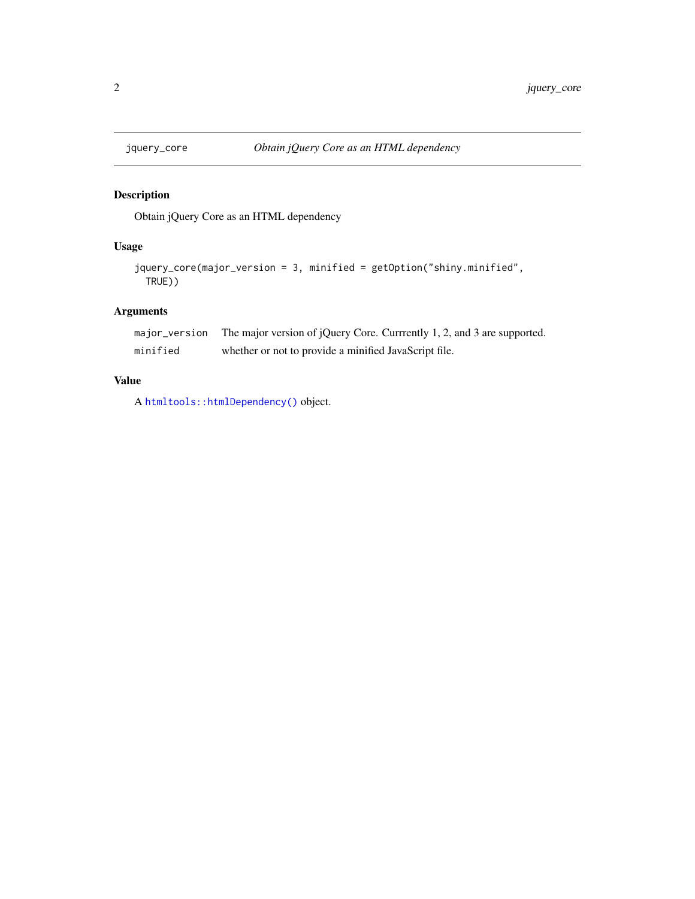<span id="page-1-0"></span>

#### Description

Obtain jQuery Core as an HTML dependency

#### Usage

```
jquery_core(major_version = 3, minified = getOption("shiny.minified",
TRUE))
```
#### Arguments

|          | major_version The major version of jQuery Core. Currrently 1, 2, and 3 are supported. |
|----------|---------------------------------------------------------------------------------------|
| minified | whether or not to provide a minified JavaScript file.                                 |

#### Value

A [htmltools::htmlDependency\(\)](#page-0-0) object.